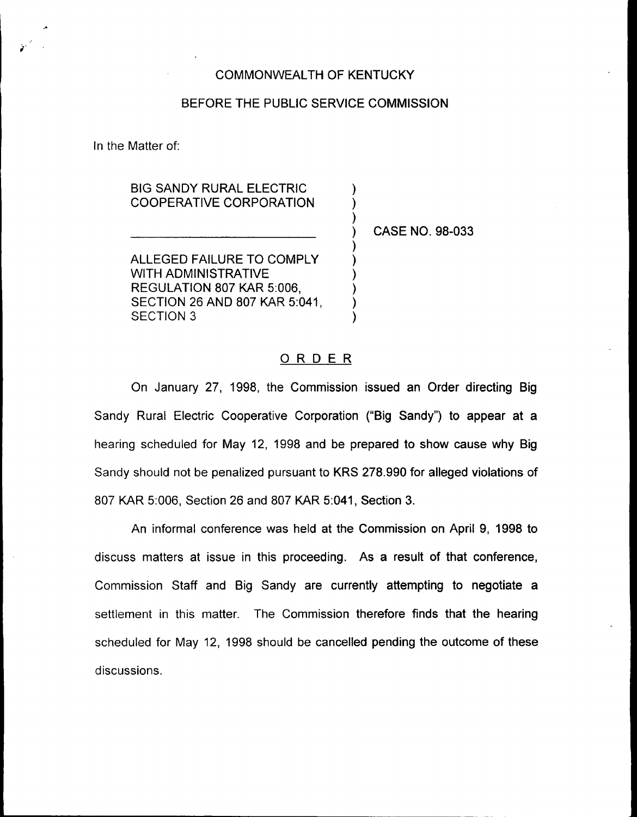## COMMONWEALTH OF KENTUCKY

## BEFORE THE PUBLIC SERVICE COMMISSION

) ) )

) ) ) ) ) )

In the Matter of:

BIG SANDY RURAL ELECTRIC COOPERATIVE CORPORATION

) CASE NO. 98-033

ALLEGED FAILURE TO COMPLY WITH ADMINISTRATIVE REGULATION 807 KAR 5:006, SECTION 26 AND 807 KAR 5:041, SECTION 3

## ORDER

On January 27, 1998, the Commission issued an Order directing Big Sandy Rural Electric Cooperative Corporation ("Big Sandy") to appear at a hearing scheduled for May 12, 1998 and be prepared to show cause why Big Sandy should not be penalized pursuant to KRS 278.990 for alleged violations of 807 KAR 5:006, Section 26 and 807 KAR 5:041, Section 3.

An informal conference was held at the Commission on April 9, 1998 to discuss matters at issue in this proceeding. As a result of that conference, Commission Staff and Big Sandy are currently attempting to negotiate a settlement in this matter. The Commission therefore finds that the hearing scheduled for May 12, 1998 should be cancelled pending the outcome of these discussions.